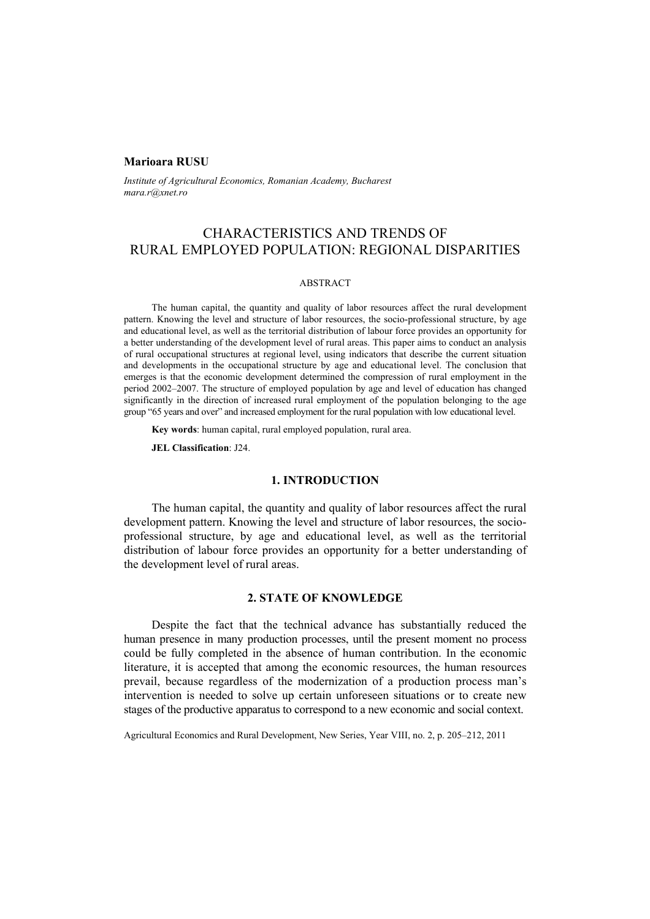### **Marioara RUSU**

*Institute of Agricultural Economics, Romanian Academy, Bucharest mara.r@xnet.ro* 

# CHARACTERISTICS AND TRENDS OF RURAL EMPLOYED POPULATION: REGIONAL DISPARITIES

### ABSTRACT

The human capital, the quantity and quality of labor resources affect the rural development pattern. Knowing the level and structure of labor resources, the socio-professional structure, by age and educational level, as well as the territorial distribution of labour force provides an opportunity for a better understanding of the development level of rural areas. This paper aims to conduct an analysis of rural occupational structures at regional level, using indicators that describe the current situation and developments in the occupational structure by age and educational level. The conclusion that emerges is that the economic development determined the compression of rural employment in the period 2002–2007. The structure of employed population by age and level of education has changed significantly in the direction of increased rural employment of the population belonging to the age group "65 years and over" and increased employment for the rural population with low educational level.

**Key words**: human capital, rural employed population, rural area.

**JEL Classification**: J24.

#### **1. INTRODUCTION**

The human capital, the quantity and quality of labor resources affect the rural development pattern. Knowing the level and structure of labor resources, the socioprofessional structure, by age and educational level, as well as the territorial distribution of labour force provides an opportunity for a better understanding of the development level of rural areas.

# **2. STATE OF KNOWLEDGE**

Despite the fact that the technical advance has substantially reduced the human presence in many production processes, until the present moment no process could be fully completed in the absence of human contribution. In the economic literature, it is accepted that among the economic resources, the human resources prevail, because regardless of the modernization of a production process man's intervention is needed to solve up certain unforeseen situations or to create new stages of the productive apparatus to correspond to a new economic and social context.

Agricultural Economics and Rural Development, New Series, Year VIII, no. 2, p. 205–212, 2011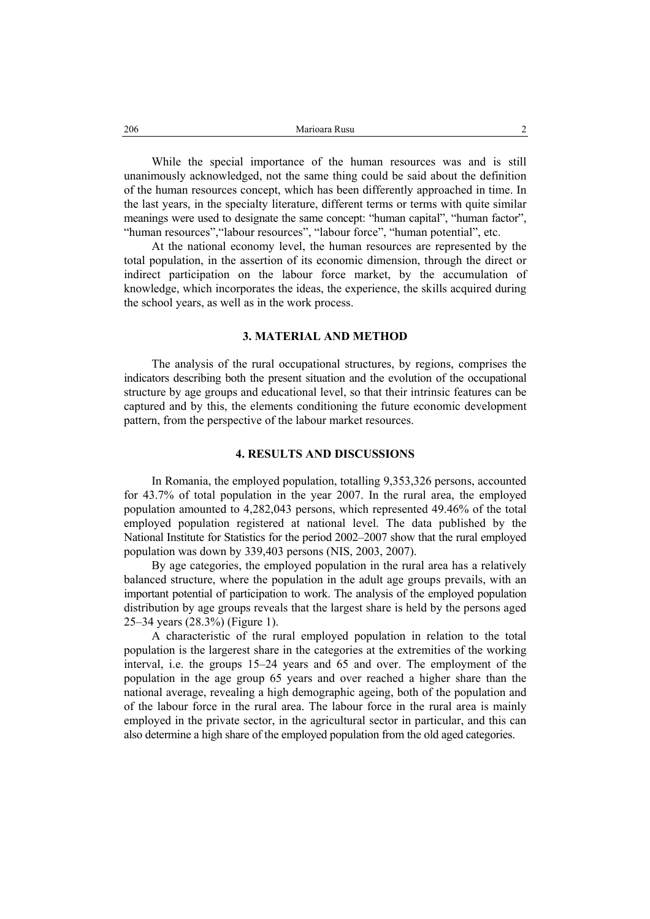While the special importance of the human resources was and is still unanimously acknowledged, not the same thing could be said about the definition of the human resources concept, which has been differently approached in time. In the last years, in the specialty literature, different terms or terms with quite similar meanings were used to designate the same concept: "human capital", "human factor", "human resources", "labour resources", "labour force", "human potential", etc.

At the national economy level, the human resources are represented by the total population, in the assertion of its economic dimension, through the direct or indirect participation on the labour force market, by the accumulation of knowledge, which incorporates the ideas, the experience, the skills acquired during the school years, as well as in the work process.

#### **3. MATERIAL AND METHOD**

The analysis of the rural occupational structures, by regions, comprises the indicators describing both the present situation and the evolution of the occupational structure by age groups and educational level, so that their intrinsic features can be captured and by this, the elements conditioning the future economic development pattern, from the perspective of the labour market resources.

#### **4. RESULTS AND DISCUSSIONS**

In Romania, the employed population, totalling 9,353,326 persons, accounted for 43.7% of total population in the year 2007. In the rural area, the employed population amounted to 4,282,043 persons, which represented 49.46% of the total employed population registered at national level. The data published by the National Institute for Statistics for the period 2002–2007 show that the rural employed population was down by 339,403 persons (NIS, 2003, 2007).

By age categories, the employed population in the rural area has a relatively balanced structure, where the population in the adult age groups prevails, with an important potential of participation to work. The analysis of the employed population distribution by age groups reveals that the largest share is held by the persons aged 25–34 years (28.3%) (Figure 1).

A characteristic of the rural employed population in relation to the total population is the largerest share in the categories at the extremities of the working interval, i.e. the groups 15–24 years and 65 and over. The employment of the population in the age group 65 years and over reached a higher share than the national average, revealing a high demographic ageing, both of the population and of the labour force in the rural area. The labour force in the rural area is mainly employed in the private sector, in the agricultural sector in particular, and this can also determine a high share of the employed population from the old aged categories.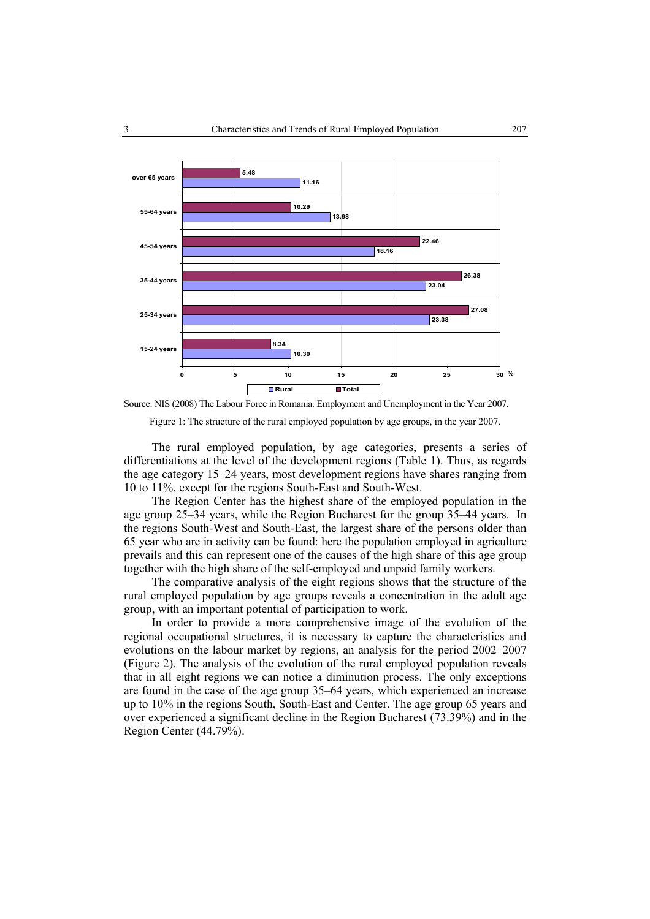

Source: NIS (2008) The Labour Force in Romania. Employment and Unemployment in the Year 2007.

Figure 1: The structure of the rural employed population by age groups, in the year 2007.

The rural employed population, by age categories, presents a series of differentiations at the level of the development regions (Table 1). Thus, as regards the age category 15–24 years, most development regions have shares ranging from 10 to 11%, except for the regions South-East and South-West.

The Region Center has the highest share of the employed population in the age group 25–34 years, while the Region Bucharest for the group 35–44 years. In the regions South-West and South-East, the largest share of the persons older than 65 year who are in activity can be found: here the population employed in agriculture prevails and this can represent one of the causes of the high share of this age group together with the high share of the self-employed and unpaid family workers.

The comparative analysis of the eight regions shows that the structure of the rural employed population by age groups reveals a concentration in the adult age group, with an important potential of participation to work.

In order to provide a more comprehensive image of the evolution of the regional occupational structures, it is necessary to capture the characteristics and evolutions on the labour market by regions, an analysis for the period 2002–2007 (Figure 2). The analysis of the evolution of the rural employed population reveals that in all eight regions we can notice a diminution process. The only exceptions are found in the case of the age group 35–64 years, which experienced an increase up to 10% in the regions South, South-East and Center. The age group 65 years and over experienced a significant decline in the Region Bucharest (73.39%) and in the Region Center (44.79%).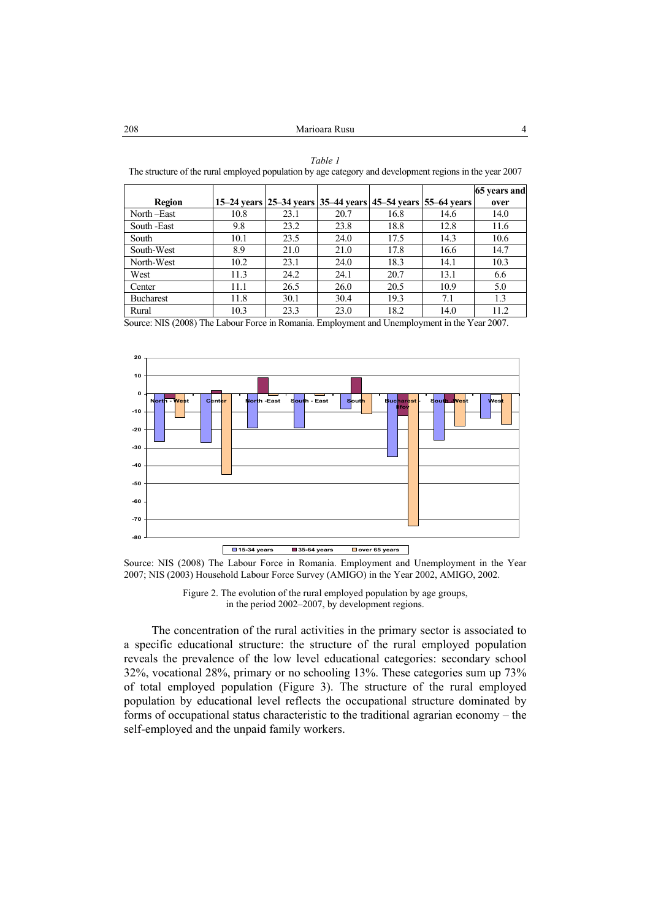#### The structure of the rural employed population by age category and development regions in the year 2007 Τ Τ Τ **65 years and**

*Table 1* 

| <b>Region</b>    |      |      | 15–24 years 25–34 years 35–44 years 45–54 years 55–64 years |      |      | $\cdot$<br>over |
|------------------|------|------|-------------------------------------------------------------|------|------|-----------------|
| North-East       | 10.8 | 23.1 | 20.7                                                        | 16.8 | 14.6 | 14.0            |
| South -East      | 9.8  | 23.2 | 23.8                                                        | 18.8 | 12.8 | 11.6            |
| South            | 10.1 | 23.5 | 24.0                                                        | 17.5 | 14.3 | 10.6            |
| South-West       | 8.9  | 21.0 | 21.0                                                        | 17.8 | 16.6 | 14.7            |
| North-West       | 10.2 | 23.1 | 24.0                                                        | 18.3 | 14.1 | 10.3            |
| West             | 11.3 | 24.2 | 24.1                                                        | 20.7 | 13.1 | 6.6             |
| Center           | 11.1 | 26.5 | 26.0                                                        | 20.5 | 10.9 | 5.0             |
| <b>Bucharest</b> | 11.8 | 30.1 | 30.4                                                        | 19.3 | 7.1  | 1.3             |
| Rural            | 10.3 | 23.3 | 23.0                                                        | 18.2 | 14.0 | 11.2            |

Source: NIS (2008) The Labour Force in Romania. Employment and Unemployment in the Year 2007.



Source: NIS (2008) The Labour Force in Romania. Employment and Unemployment in the Year 2007; NIS (2003) Household Labour Force Survey (AMIGO) in the Year 2002, AMIGO, 2002.



The concentration of the rural activities in the primary sector is associated to a specific educational structure: the structure of the rural employed population reveals the prevalence of the low level educational categories: secondary school 32%, vocational 28%, primary or no schooling 13%. These categories sum up 73% of total employed population (Figure 3). The structure of the rural employed population by educational level reflects the occupational structure dominated by forms of occupational status characteristic to the traditional agrarian economy – the self-employed and the unpaid family workers.

ſ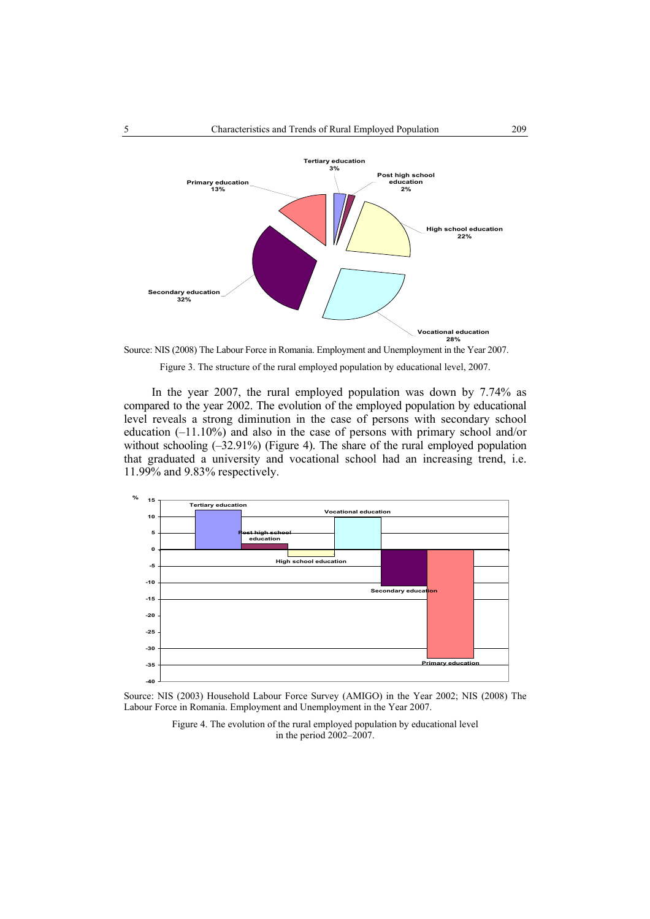

Source: NIS (2008) The Labour Force in Romania. Employment and Unemployment in the Year 2007.

Figure 3. The structure of the rural employed population by educational level, 2007.

In the year 2007, the rural employed population was down by 7.74% as compared to the year 2002. The evolution of the employed population by educational level reveals a strong diminution in the case of persons with secondary school education (–11.10%) and also in the case of persons with primary school and/or without schooling  $(-32.91\%)$  (Figure 4). The share of the rural employed population that graduated a university and vocational school had an increasing trend, i.e. 11.99% and 9.83% respectively.



Source: NIS (2003) Household Labour Force Survey (AMIGO) in the Year 2002; NIS (2008) The Labour Force in Romania. Employment and Unemployment in the Year 2007.

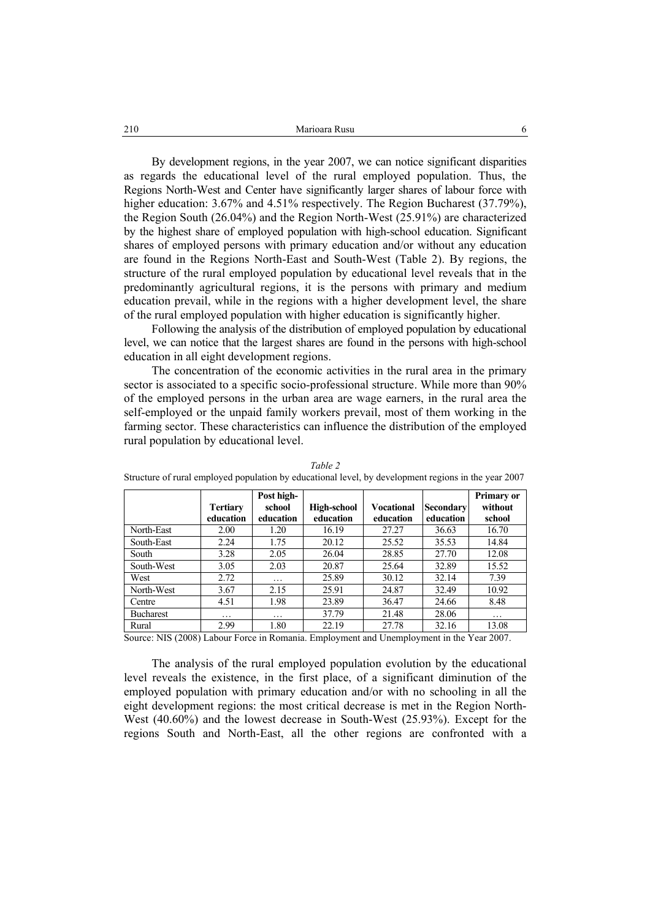| 210 | Marioara Rusu |
|-----|---------------|
|     |               |

By development regions, in the year 2007, we can notice significant disparities as regards the educational level of the rural employed population. Thus, the Regions North-West and Center have significantly larger shares of labour force with higher education: 3.67% and 4.51% respectively. The Region Bucharest (37.79%), the Region South (26.04%) and the Region North-West (25.91%) are characterized by the highest share of employed population with high-school education. Significant shares of employed persons with primary education and/or without any education are found in the Regions North-East and South-West (Table 2). By regions, the structure of the rural employed population by educational level reveals that in the predominantly agricultural regions, it is the persons with primary and medium education prevail, while in the regions with a higher development level, the share of the rural employed population with higher education is significantly higher.

Following the analysis of the distribution of employed population by educational level, we can notice that the largest shares are found in the persons with high-school education in all eight development regions.

The concentration of the economic activities in the rural area in the primary sector is associated to a specific socio-professional structure. While more than 90% of the employed persons in the urban area are wage earners, in the rural area the self-employed or the unpaid family workers prevail, most of them working in the farming sector. These characteristics can influence the distribution of the employed rural population by educational level.

|                  | <b>Tertiary</b><br>education | Post high-<br>school<br>education | High-school<br>education                    | <b>Vocational</b><br>education          | Secondary<br>education | Primary or<br>without<br>school |
|------------------|------------------------------|-----------------------------------|---------------------------------------------|-----------------------------------------|------------------------|---------------------------------|
| North-East       | 2.00                         | 1.20                              | 16.19                                       | 27.27                                   | 36.63                  | 16.70                           |
| South-East       | 2.24                         | 1.75                              | 20.12                                       | 25.52                                   | 35.53                  | 14.84                           |
| South            | 3.28                         | 2.05                              | 26.04                                       | 28.85                                   | 27.70                  | 12.08                           |
| South-West       | 3.05                         | 2.03                              | 20.87                                       | 25.64                                   | 32.89                  | 15.52                           |
| West             | 2.72                         | .                                 | 25.89                                       | 30.12                                   | 32.14                  | 7.39                            |
| North-West       | 3.67                         | 2.15                              | 25.91                                       | 24.87                                   | 32.49                  | 10.92                           |
| Centre           | 4.51                         | 1.98                              | 23.89                                       | 36.47                                   | 24.66                  | 8.48                            |
| <b>Bucharest</b> | .                            | .                                 | 37.79                                       | 21.48                                   | 28.06                  | .                               |
| Rural<br>$\sim$  | 2.99<br>$\sim$               | 1.80<br>. .                       | 22.19<br>$\sim$<br>$\overline{\phantom{a}}$ | 27.78<br>$\sim$ $\sim$ $\sim$<br>$\sim$ | 32.16<br>.             | 13.08<br>$\sim$ $\sim$ $\sim$   |

*Table 2*  Structure of rural employed population by educational level, by development regions in the year 2007

Source: NIS (2008) Labour Force in Romania. Employment and Unemployment in the Year 2007.

The analysis of the rural employed population evolution by the educational level reveals the existence, in the first place, of a significant diminution of the employed population with primary education and/or with no schooling in all the eight development regions: the most critical decrease is met in the Region North-West (40.60%) and the lowest decrease in South-West (25.93%). Except for the regions South and North-East, all the other regions are confronted with a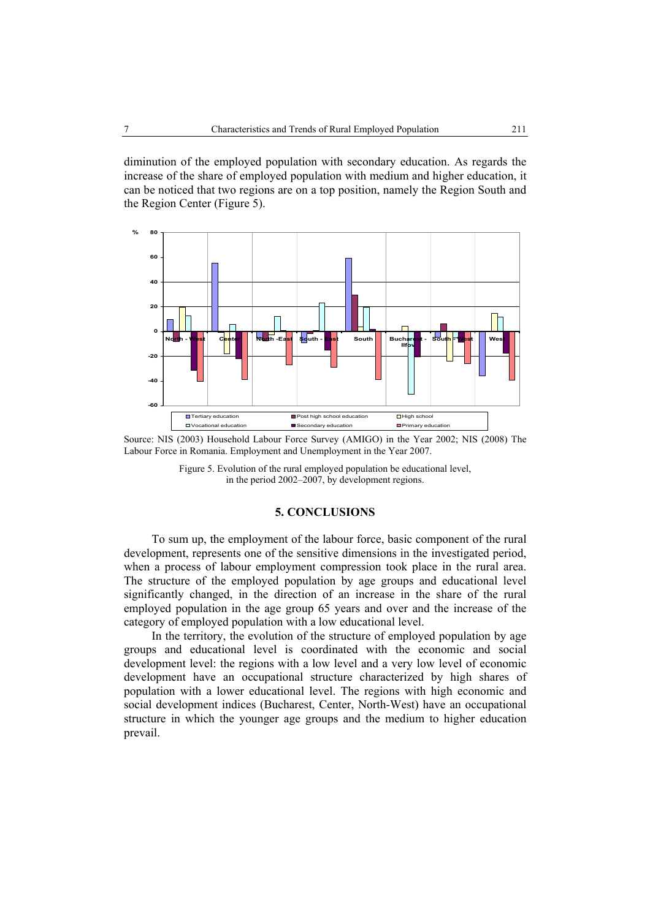diminution of the employed population with secondary education. As regards the increase of the share of employed population with medium and higher education, it can be noticed that two regions are on a top position, namely the Region South and the Region Center (Figure 5).



Source: NIS (2003) Household Labour Force Survey (AMIGO) in the Year 2002; NIS (2008) The Labour Force in Romania. Employment and Unemployment in the Year 2007.

Figure 5. Evolution of the rural employed population be educational level, in the period 2002–2007, by development regions.

# **5. CONCLUSIONS**

To sum up, the employment of the labour force, basic component of the rural development, represents one of the sensitive dimensions in the investigated period, when a process of labour employment compression took place in the rural area. The structure of the employed population by age groups and educational level significantly changed, in the direction of an increase in the share of the rural employed population in the age group 65 years and over and the increase of the category of employed population with a low educational level.

In the territory, the evolution of the structure of employed population by age groups and educational level is coordinated with the economic and social development level: the regions with a low level and a very low level of economic development have an occupational structure characterized by high shares of population with a lower educational level. The regions with high economic and social development indices (Bucharest, Center, North-West) have an occupational structure in which the younger age groups and the medium to higher education prevail.